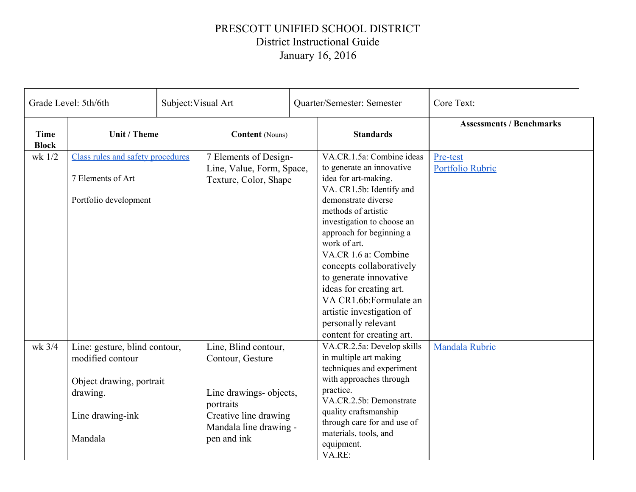## PRESCOTT UNIFIED SCHOOL DISTRICT District Instructional Guide January 16, 2016

| Grade Level: 5th/6th        |                                                                                                                          | Subject: Visual Art | Quarter/Semester: Semester                                                                                                                         |  | Core Text:                                                                                                                                                                                                                                                                                                                                                                                                                                             |                                 |  |
|-----------------------------|--------------------------------------------------------------------------------------------------------------------------|---------------------|----------------------------------------------------------------------------------------------------------------------------------------------------|--|--------------------------------------------------------------------------------------------------------------------------------------------------------------------------------------------------------------------------------------------------------------------------------------------------------------------------------------------------------------------------------------------------------------------------------------------------------|---------------------------------|--|
| <b>Time</b><br><b>Block</b> | Unit / Theme                                                                                                             |                     | <b>Content</b> (Nouns)                                                                                                                             |  | <b>Standards</b>                                                                                                                                                                                                                                                                                                                                                                                                                                       | <b>Assessments / Benchmarks</b> |  |
| wk 1/2                      | Class rules and safety procedures<br>7 Elements of Art<br>Portfolio development                                          |                     | 7 Elements of Design-<br>Line, Value, Form, Space,<br>Texture, Color, Shape                                                                        |  | VA.CR.1.5a: Combine ideas<br>to generate an innovative<br>idea for art-making.<br>VA. CR1.5b: Identify and<br>demonstrate diverse<br>methods of artistic<br>investigation to choose an<br>approach for beginning a<br>work of art.<br>VA.CR 1.6 a: Combine<br>concepts collaboratively<br>to generate innovative<br>ideas for creating art.<br>VA CR1.6b:Formulate an<br>artistic investigation of<br>personally relevant<br>content for creating art. | Pre-test<br>Portfolio Rubric    |  |
| wk 3/4                      | Line: gesture, blind contour,<br>modified contour<br>Object drawing, portrait<br>drawing.<br>Line drawing-ink<br>Mandala |                     | Line, Blind contour,<br>Contour, Gesture<br>Line drawings- objects,<br>portraits<br>Creative line drawing<br>Mandala line drawing -<br>pen and ink |  | VA.CR.2.5a: Develop skills<br>in multiple art making<br>techniques and experiment<br>with approaches through<br>practice.<br>VA.CR.2.5b: Demonstrate<br>quality craftsmanship<br>through care for and use of<br>materials, tools, and<br>equipment.<br>VA.RE:                                                                                                                                                                                          | Mandala Rubric                  |  |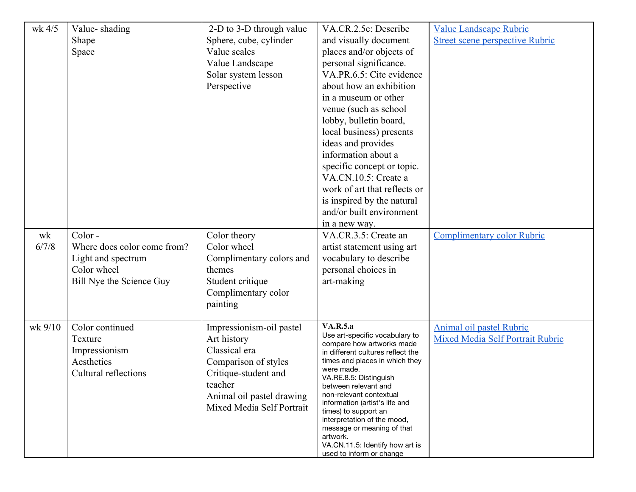| wk 4/5      | Value-shading<br>Shape<br>Space                                                                        | 2-D to 3-D through value<br>Sphere, cube, cylinder<br>Value scales<br>Value Landscape<br>Solar system lesson<br>Perspective                                                   | VA.CR.2.5c: Describe<br>and visually document<br>places and/or objects of<br>personal significance.<br>VA.PR.6.5: Cite evidence<br>about how an exhibition<br>in a museum or other<br>venue (such as school<br>lobby, bulletin board,<br>local business) presents<br>ideas and provides<br>information about a<br>specific concept or topic.<br>VA.CN.10.5: Create a<br>work of art that reflects or<br>is inspired by the natural<br>and/or built environment<br>in a new way. | <b>Value Landscape Rubric</b><br><b>Street scene perspective Rubric</b>    |
|-------------|--------------------------------------------------------------------------------------------------------|-------------------------------------------------------------------------------------------------------------------------------------------------------------------------------|---------------------------------------------------------------------------------------------------------------------------------------------------------------------------------------------------------------------------------------------------------------------------------------------------------------------------------------------------------------------------------------------------------------------------------------------------------------------------------|----------------------------------------------------------------------------|
| wk<br>6/7/8 | Color-<br>Where does color come from?<br>Light and spectrum<br>Color wheel<br>Bill Nye the Science Guy | Color theory<br>Color wheel<br>Complimentary colors and<br>themes<br>Student critique<br>Complimentary color<br>painting                                                      | VA.CR.3.5: Create an<br>artist statement using art<br>vocabulary to describe<br>personal choices in<br>art-making                                                                                                                                                                                                                                                                                                                                                               | <b>Complimentary color Rubric</b>                                          |
| wk 9/10     | Color continued<br>Texture<br>Impressionism<br>Aesthetics<br>Cultural reflections                      | Impressionism-oil pastel<br>Art history<br>Classical era<br>Comparison of styles<br>Critique-student and<br>teacher<br>Animal oil pastel drawing<br>Mixed Media Self Portrait | <b>VA.R.5.a</b><br>Use art-specific vocabulary to<br>compare how artworks made<br>in different cultures reflect the<br>times and places in which they<br>were made.<br>VA.RE.8.5: Distinguish<br>between relevant and<br>non-relevant contextual<br>information (artist's life and<br>times) to support an<br>interpretation of the mood,<br>message or meaning of that<br>artwork.<br>VA.CN.11.5: Identify how art is<br>used to inform or change                              | <b>Animal oil pastel Rubric</b><br><b>Mixed Media Self Portrait Rubric</b> |